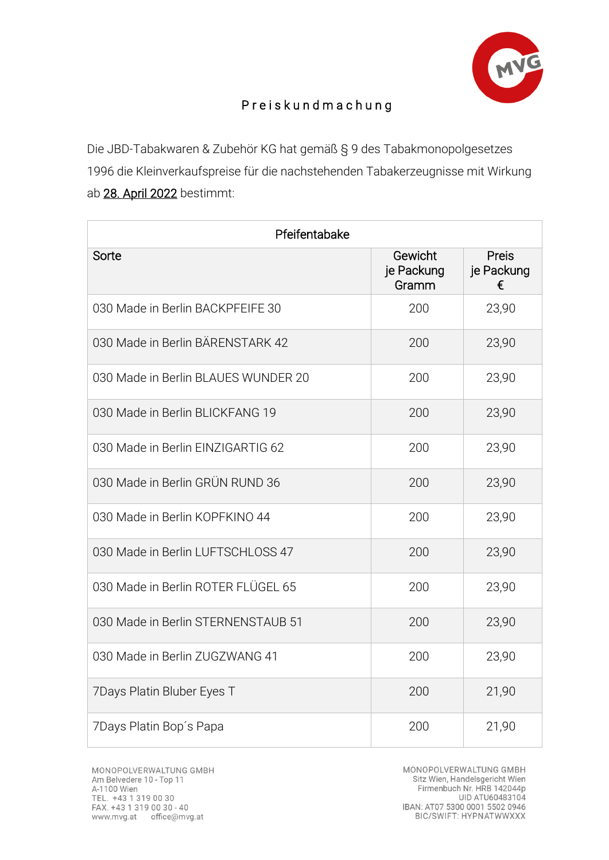

## P r e i s k u n d m a c h u n g

Die JBD-Tabakwaren & Zubehör KG hat gemäß § 9 des Tabakmonopolgesetzes 1996 die Kleinverkaufspreise für die nachstehenden Tabakerzeugnisse mit Wirkung ab 28. April 2022 bestimmt:

| Pfeifentabake                       |                                |                                 |  |
|-------------------------------------|--------------------------------|---------------------------------|--|
| Sorte                               | Gewicht<br>je Packung<br>Gramm | <b>Preis</b><br>je Packung<br>€ |  |
| 030 Made in Berlin BACKPFEIFE 30    | 200                            | 23,90                           |  |
| 030 Made in Berlin BÄRENSTARK 42    | 200                            | 23,90                           |  |
| 030 Made in Berlin BLAUES WUNDER 20 | 200                            | 23,90                           |  |
| 030 Made in Berlin BLICKFANG 19     | 200                            | 23,90                           |  |
| 030 Made in Berlin EINZIGARTIG 62   | 200                            | 23,90                           |  |
| 030 Made in Berlin GRÜN RUND 36     | 200                            | 23,90                           |  |
| 030 Made in Berlin KOPFKINO 44      | 200                            | 23,90                           |  |
| 030 Made in Berlin LUFTSCHLOSS 47   | 200                            | 23,90                           |  |
| 030 Made in Berlin ROTER FLÜGEL 65  | 200                            | 23,90                           |  |
| 030 Made in Berlin STERNENSTAUB 51  | 200                            | 23,90                           |  |
| 030 Made in Berlin ZUGZWANG 41      | 200                            | 23,90                           |  |
| 7Days Platin Bluber Eyes T          | 200                            | 21,90                           |  |
| 7Days Platin Bop's Papa             | 200                            | 21,90                           |  |

MONOPOLVERWALTUNG GMBH Sitz Wien, Handelsgericht Wien Firmenbuch Nr. HRB 142044p UID ATU60483104 IBAN: AT07 5300 0001 5502 0946<br>BIC/SWIFT: HYPNATWWXXX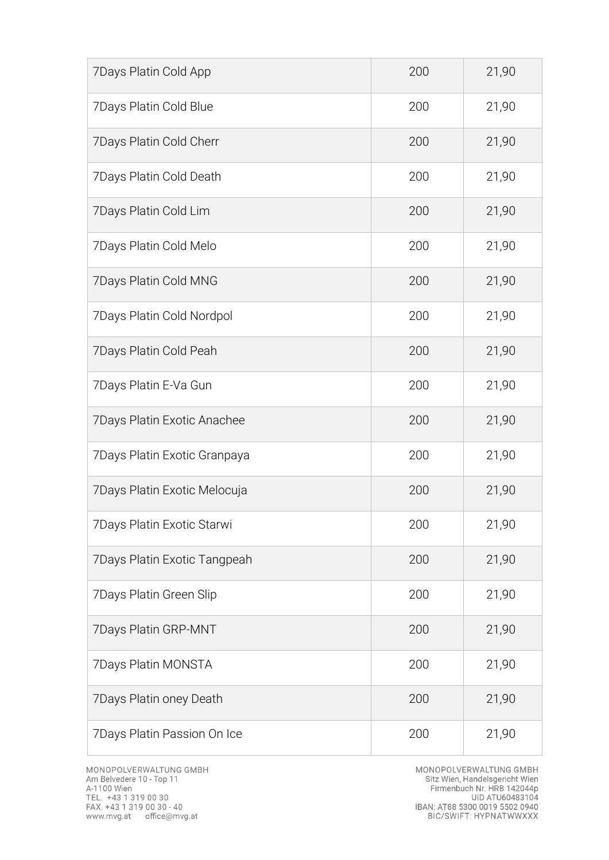| 7Days Platin Cold App        | 200 | 21,90 |
|------------------------------|-----|-------|
| 7Days Platin Cold Blue       | 200 | 21,90 |
| 7Days Platin Cold Cherr      | 200 | 21,90 |
| 7Days Platin Cold Death      | 200 | 21,90 |
| 7Days Platin Cold Lim        | 200 | 21,90 |
| 7Days Platin Cold Melo       | 200 | 21,90 |
| 7Days Platin Cold MNG        | 200 | 21,90 |
| 7Days Platin Cold Nordpol    | 200 | 21,90 |
| 7Days Platin Cold Peah       | 200 | 21,90 |
| 7Days Platin E-Va Gun        | 200 | 21,90 |
| 7Days Platin Exotic Anachee  | 200 | 21,90 |
| 7Days Platin Exotic Granpaya | 200 | 21,90 |
| 7Days Platin Exotic Melocuja | 200 | 21,90 |
| 7Days Platin Exotic Starwi   | 200 | 21,90 |
| 7Days Platin Exotic Tangpeah | 200 | 21,90 |
| 7Days Platin Green Slip      | 200 | 21,90 |
| 7Days Platin GRP-MNT         | 200 | 21,90 |
| 7Days Platin MONSTA          | 200 | 21,90 |
| 7Days Platin oney Death      | 200 | 21,90 |
| 7Days Platin Passion On Ice  | 200 | 21,90 |

MONOPOLVERWALTUNG GMBH<br>Sitz Wien, Handelsgericht Wien<br>Firmenbuch Nr. HRB 142044p<br>UID ATU60483104<br>IBAN: AT88 5300 0019 5502 0940<br>BIC/SWIFT: HYPNATWWXXX